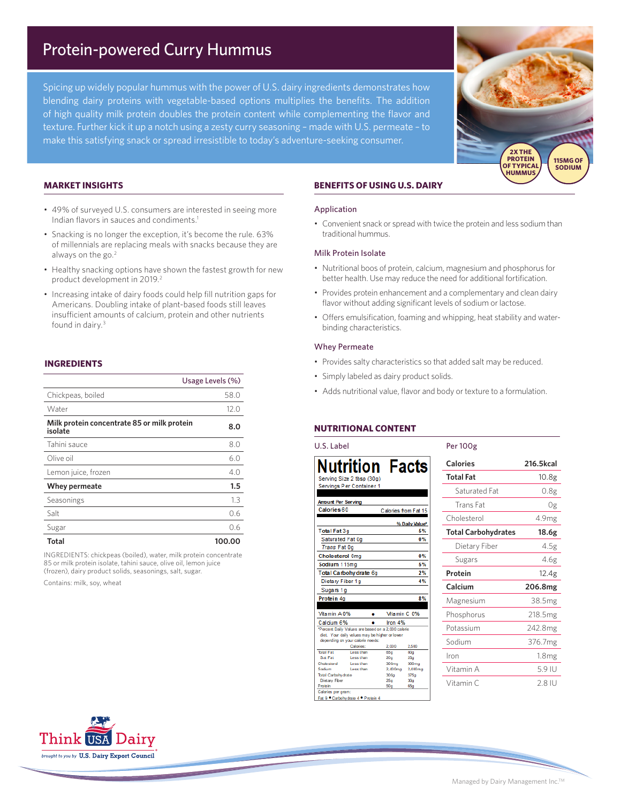# Protein-powered Curry Hummus

Spicing up widely popular hummus with the power of U.S. dairy ingredients demonstrates how blending dairy proteins with vegetable-based options multiplies the benefits. The addition of high quality milk protein doubles the protein content while complementing the flavor and texture. Further kick it up a notch using a zesty curry seasoning – made with U.S. permeate – to make this satisfying snack or spread irresistible to today's adventure-seeking consumer.



### **MARKET INSIGHTS**

- 49% of surveyed U.S. consumers are interested in seeing more Indian flavors in sauces and condiments.1
- Snacking is no longer the exception, it's become the rule. 63% of millennials are replacing meals with snacks because they are always on the go.2
- Healthy snacking options have shown the fastest growth for new product development in 2019.<sup>2</sup>
- Increasing intake of dairy foods could help fill nutrition gaps for Americans. Doubling intake of plant-based foods still leaves insufficient amounts of calcium, protein and other nutrients found in dairy.3

# **INGREDIENTS**

| Usage Levels (%)                                       |        |
|--------------------------------------------------------|--------|
| Chickpeas, boiled                                      | 58.0   |
| Water                                                  | 12.0   |
| Milk protein concentrate 85 or milk protein<br>isolate | 8.0    |
| Tahini sauce                                           | 8.0    |
| Olive oil                                              | 6.0    |
| Lemon juice, frozen                                    | 4.0    |
| Whey permeate                                          | 1.5    |
| Seasonings                                             | 1.3    |
| Salt                                                   | 0.6    |
| Sugar                                                  | 0.6    |
| Total                                                  | 100.00 |

INGREDIENTS: chickpeas (boiled), water, milk protein concentrate 85 or milk protein isolate, tahini sauce, olive oil, lemon juice (frozen), dairy product solids, seasonings, salt, sugar.

Contains: milk, soy, wheat

# **BENEFITS OF USING U.S. DAIRY**

#### Application

• Convenient snack or spread with twice the protein and less sodium than traditional hummus.

#### Milk Protein Isolate

- Nutritional boos of protein, calcium, magnesium and phosphorus for better health. Use may reduce the need for additional fortification.
- Provides protein enhancement and a complementary and clean dairy flavor without adding significant levels of sodium or lactose.
- Offers emulsification, foaming and whipping, heat stability and waterbinding characteristics.

#### Whey Permeate

- Provides salty characteristics so that added salt may be reduced.
- Simply labeled as dairy product solids.
- Adds nutritional value, flavor and body or texture to a formulation.

# **NUTRITIONAL CONTENT**

| U.S. Label                                          |                                                                                                 |                                                     |                                      | <b>Per 100g</b>            |                     |
|-----------------------------------------------------|-------------------------------------------------------------------------------------------------|-----------------------------------------------------|--------------------------------------|----------------------------|---------------------|
|                                                     | <b>Nutrition Facts</b>                                                                          |                                                     |                                      | Calories                   | 216.5kcal           |
|                                                     | Serving Size 2 tbsp (30g)                                                                       |                                                     |                                      | <b>Total Fat</b>           | 10.8 <sub>g</sub>   |
|                                                     | Servings Per Container 1                                                                        |                                                     |                                      | Saturated Fat              | 0.8g                |
| <b>Amount Per Serving</b><br>Calories <sub>60</sub> |                                                                                                 | Calories from Fat 15                                |                                      | Trans Fat                  | 0g                  |
|                                                     |                                                                                                 |                                                     | % Daily Value*                       | Cholesterol                | 4.9mg               |
| <b>Total Fat 3g</b><br>Saturated Fat 0g             |                                                                                                 |                                                     | 5%<br>$0\%$                          | <b>Total Carbohydrates</b> | 18.6g               |
| <b>Trans Fat 0g</b>                                 |                                                                                                 |                                                     |                                      | Dietary Fiber              | 4.5g                |
| Cholesterol 0mg<br>Sodium 115mg                     |                                                                                                 |                                                     | $0\%$<br>5%                          | Sugars                     | 4.6g                |
|                                                     | Total Carbohydrate 6g                                                                           |                                                     | 2%                                   | Protein                    | 12.4g               |
| Dietary Fiber 1q<br>Sugars 1g                       |                                                                                                 |                                                     | 4%                                   | Calcium                    | 206.8mg             |
| Protein 4g                                          |                                                                                                 |                                                     | 8%                                   | Magnesium                  | 38.5mg              |
| Vitamin A 0%                                        | ۰                                                                                               | Vitamin C 0%                                        |                                      | Phosphorus                 | 218.5 <sub>mg</sub> |
| Calcium 6%                                          | ۰<br>*Percent Daily Values are based on a 2,000 calorie                                         | Iron 4%                                             |                                      | Potassium                  | 242.8mg             |
|                                                     | diet. Your daily values may be higher or lower<br>depending on your calorie needs:<br>Calories: | 2,000                                               | 2,500                                | Sodium                     | 376.7mg             |
| <b>Total Fat</b><br><b>Sat Fat</b>                  | Loss than<br>Less than                                                                          | 65g<br>20q                                          | 80a<br>25 <sub>9</sub>               | Iron                       | 1.8 <sub>mg</sub>   |
| Cholesterol<br>Sodium<br><b>Total Carbohydrate</b>  | Loss than<br>Less than                                                                          | 300 <sub>ma</sub><br>$2,400$ mg<br>300 <sub>9</sub> | 300 <sub>ma</sub><br>2,400mg<br>375a | Vitamin A                  | 5.9 IU              |
| Dietary Fiber<br>Protein                            |                                                                                                 | 25q<br>50q                                          | 30a<br>65g                           | Vitamin C                  | 2.8 IU              |
| Calories per gram:                                  | Fat 9 ° Carbohydrate 4 ° Protein 4                                                              |                                                     |                                      |                            |                     |